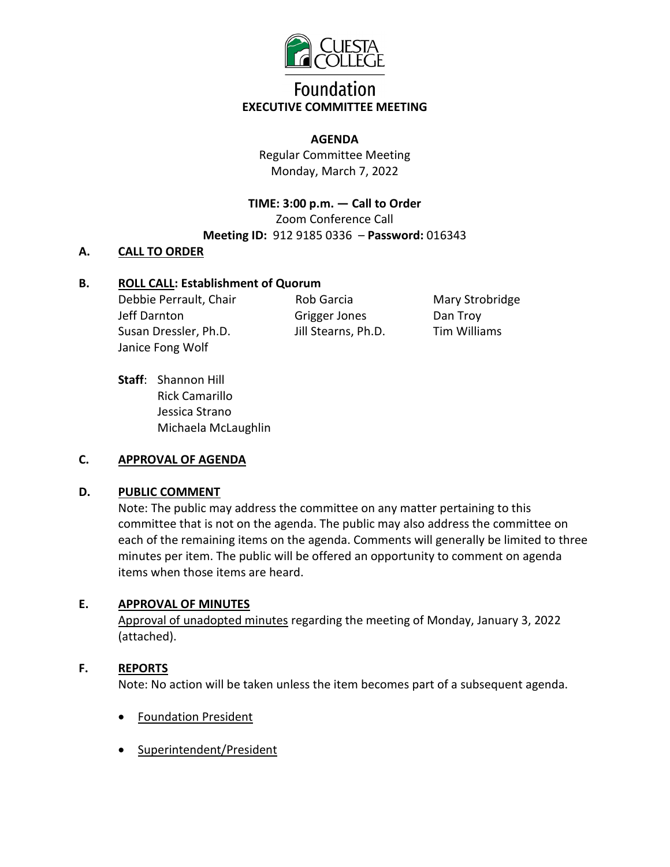

# **Foundation EXECUTIVE COMMITTEE MEETING**

#### **AGENDA**

Regular Committee Meeting Monday, March 7, 2022

**TIME: 3:00 p.m. — Call to Order**  Zoom Conference Call **Meeting ID:** 912 9185 0336 – **Password:** 016343

### **A. CALL TO ORDER**

# **B. ROLL CALL: Establishment of Quorum**

Debbie Perrault, Chair Jeff Darnton Susan Dressler, Ph.D. Janice Fong Wolf

Rob Garcia Grigger Jones Jill Stearns, Ph.D.

Mary Strobridge Dan Troy Tim Williams

**Staff**: Shannon Hill Rick Camarillo Jessica Strano Michaela McLaughlin

#### **C. APPROVAL OF AGENDA**

#### **D. PUBLIC COMMENT**

Note: The public may address the committee on any matter pertaining to this committee that is not on the agenda. The public may also address the committee on each of the remaining items on the agenda. Comments will generally be limited to three minutes per item. The public will be offered an opportunity to comment on agenda items when those items are heard.

#### **E. APPROVAL OF MINUTES**

Approval of unadopted minutes regarding the meeting of Monday, January 3, 2022 (attached).

#### **F. REPORTS**

Note: No action will be taken unless the item becomes part of a subsequent agenda.

- Foundation President
- Superintendent/President